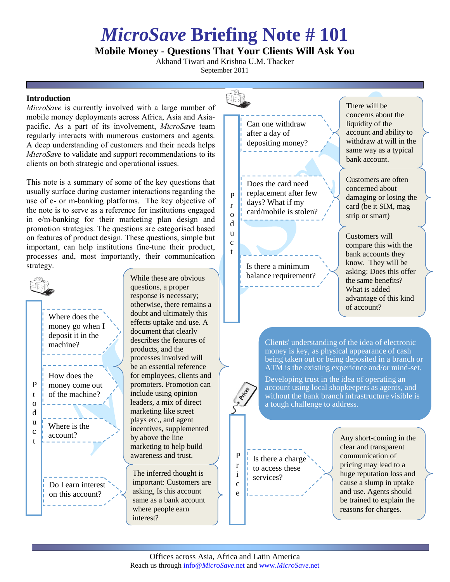## *MicroSave* **Briefing Note # 101**

## **Mobile Money - Questions That Your Clients Will Ask You**

Akhand Tiwari and Krishna U.M. Thacker September 2011

> c t

## **Introduction**

*MicroSave* is currently involved with a large number of mobile money deployments across Africa, Asia and Asiapacific. As a part of its involvement, *MicroSav*e team regularly interacts with numerous customers and agents. A deep understanding of customers and their needs helps *MicroSave* to validate and support recommendations to its clients on both strategic and operational issues.

This note is a summary of some of the key questions that usually surface during customer interactions regarding the use of e- or m-banking platforms. The key objective of the note is to serve as a reference for institutions engaged in e/m-banking for their marketing plan design and promotion strategies. The questions are categorised based on features of product design. These questions, simple but important, can help institutions fine-tune their product, processes and, most importantly, their communication strategy.



While these are obvious questions, a proper response is necessary; otherwise, there remains a doubt and ultimately this effects uptake and use. A document that clearly describes the features of products, and the processes involved will be an essential reference for employees, clients and promoters. Promotion can include using opinion leaders, a mix of direct marketing like street plays etc., and agent incentives, supplemented by above the line marketing to help build awareness and trust.

The inferred thought is important: Customers are asking, Is this account same as a bank account where people earn interest?



Is there a minimum balance requirement?

## There will be concerns about the liquidity of the account and ability to withdraw at will in the same way as a typical bank account.

Customers are often concerned about damaging or losing the card (be it SIM, mag strip or smart)

Customers will compare this with the bank accounts they know. They will be asking: Does this offer the same benefits? What is added advantage of this kind of account?

Clients' understanding of the idea of electronic money is key, as physical appearance of cash being taken out or being deposited in a branch or ATM is the existing experience and/or mind-set.

Developing trust in the idea of operating an account using local shopkeepers as agents, and without the bank branch infrastructure visible is a tough challenge to address.

Is there a charge to access these services?

Any short-coming in the clear and transparent communication of pricing may lead to a huge reputation loss and cause a slump in uptake and use. Agents should be trained to explain the reasons for charges.

P r i c e